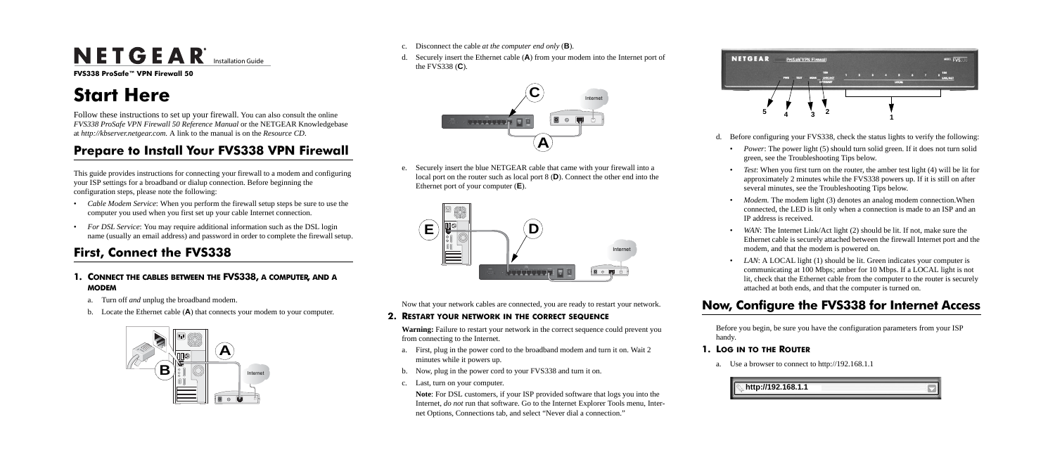# $N$ **E T G E A R**<sup>\*</sup> Installation Guide

**FVS338 ProSafe™ VPN Firewall 50**

# **Start Here**

Follow these instructions to set up your firewall. You can also consult the online *FVS338 ProSafe VPN Firewall 50 Reference Manual* or the NETGEAR Knowledgebase at *http://kbserver.netgear.com.* A link to the manual is on the *Resource CD*.

## **Prepare to Install Your FVS338 VPN Firewall**

This guide provides instructions for connecting your firewall to a modem and configuring your ISP settings for a broadband or dialup connection. Before beginning the configuration steps, please note the following:

- *Cable Modem Service*: When you perform the firewall setup steps be sure to use the computer you used when you first set up your cable Internet connection.
- *For DSL Service*: You may require additional information such as the DSL login name (usually an email address) and password in order to complete the firewall setup.

# **First, Connect the FVS338**

### **1. CONNECT THE CABLES BETWEEN THE FVS338, A COMPUTER, AND A MODEM**

- a. Turn off *and* unplug the broadband modem.
- b. Locate the Ethernet cable (**A**) that connects your modem to your computer.



- c. Disconnect the cable *at the computer end only* (**B**).
- d. Securely insert the Ethernet cable (**A**) from your modem into the Internet port of the FVS338 (**C**).

• *Power*: The power light (5) should turn solid green. If it does not turn solid green, see the Troubleshooting Tips below.

e. Securely insert the blue NETGEAR cable that came with your firewall into a local port on the router such as local port 8 (**D**). Connect the other end into the Ethernet port of your computer (**E**).

> • *Modem*. The modem light (3) denotes an analog modem connection. When connected, the LED is lit only when a connection is made to an ISP and an IP address is received.

• *WAN*: The Internet Link/Act light (2) should be lit. If not, make sure the Ethernet cable is securely attached between the firewall Internet port and the modem, and that the modem is powered on.

Now that your network cables are connected, you are ready to restart your network.

#### **2. RESTART YOUR NETWORK IN THE CORRECT SEQUENCE**

• *LAN*: A LOCAL light (1) should be lit. Green indicates your computer is communicating at 100 Mbps; amber for 10 Mbps. If a LOCAL light is not lit, check that the Ethernet cable from the computer to the router is securely attached at both ends, and that the computer is turned on.

**Warning:** Failure to restart your network in the correct sequence could prevent you from connecting to the Internet.

- a. First, plug in the power cord to the broadband modem and turn it on. Wait 2 minutes while it powers up.
- b. Now, plug in the power cord to your FVS338 and turn it on.
- c. Last, turn on your computer.

**Note**: For DSL customers, if your ISP provided software that logs you into the Internet, *do not* run that software. Go to the Internet Explorer Tools menu, Internet Options, Connections tab, and select "Never dial a connection."





d. Before configuring your FVS338, check the status lights to verify the following:

• *Test*: When you first turn on the router, the amber test light (4) will be lit for approximately 2 minutes while the FVS338 powers up. If it is still on after several minutes, see the Troubleshooting Tips below.

# **Now, Configure the FVS338 for Internet Access**

Before you begin, be sure you have the configuration parameters from your ISP

- handy.
- **1. LOG IN TO THE ROUTER**
	-

a. Use a browser to connect to http://192.168.1.1

| 2.168.1.1 |  |
|-----------|--|
|           |  |



- 
- 
- 
- 
-